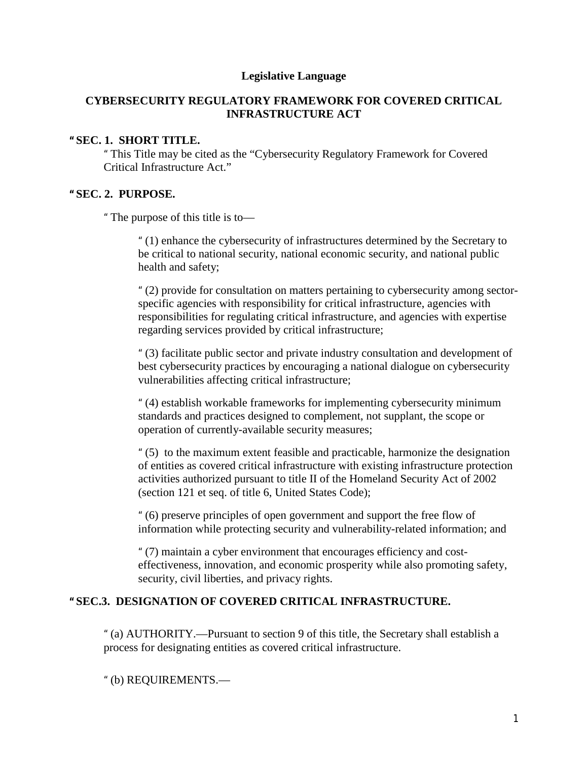### **Legislative Language**

### **CYBERSECURITY REGULATORY FRAMEWORK FOR COVERED CRITICAL INFRASTRUCTURE ACT**

### **" SEC. 1. SHORT TITLE.**

" This Title may be cited as the "Cybersecurity Regulatory Framework for Covered Critical Infrastructure Act."

#### **" SEC. 2. PURPOSE.**

" The purpose of this title is to—

" (1) enhance the cybersecurity of infrastructures determined by the Secretary to be critical to national security, national economic security, and national public health and safety;

" (2) provide for consultation on matters pertaining to cybersecurity among sectorspecific agencies with responsibility for critical infrastructure, agencies with responsibilities for regulating critical infrastructure, and agencies with expertise regarding services provided by critical infrastructure;

" (3) facilitate public sector and private industry consultation and development of best cybersecurity practices by encouraging a national dialogue on cybersecurity vulnerabilities affecting critical infrastructure;

" (4) establish workable frameworks for implementing cybersecurity minimum standards and practices designed to complement, not supplant, the scope or operation of currently-available security measures;

" (5) to the maximum extent feasible and practicable, harmonize the designation of entities as covered critical infrastructure with existing infrastructure protection activities authorized pursuant to title II of the Homeland Security Act of 2002 (section 121 et seq. of title 6, United States Code);

" (6) preserve principles of open government and support the free flow of information while protecting security and vulnerability-related information; and

" (7) maintain a cyber environment that encourages efficiency and costeffectiveness, innovation, and economic prosperity while also promoting safety, security, civil liberties, and privacy rights.

### **" SEC.3. DESIGNATION OF COVERED CRITICAL INFRASTRUCTURE.**

" (a) AUTHORITY.—Pursuant to section 9 of this title, the Secretary shall establish a process for designating entities as covered critical infrastructure.

" (b) REQUIREMENTS.—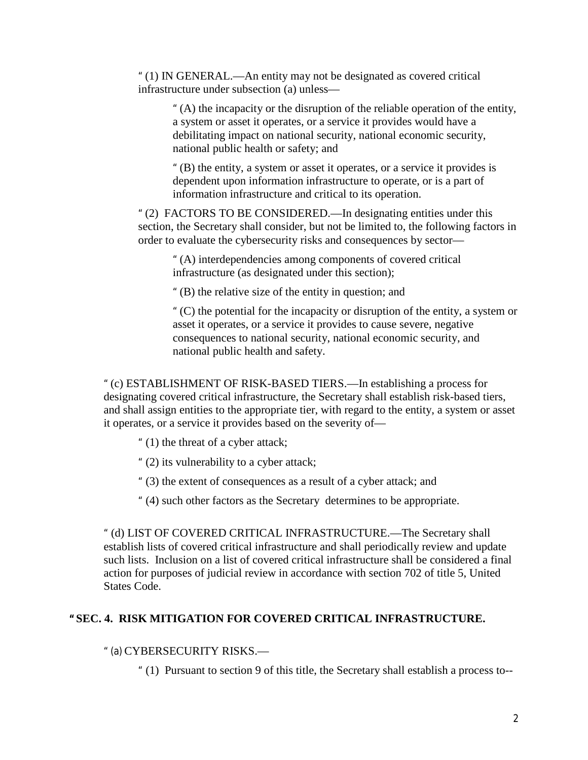" (1) IN GENERAL.—An entity may not be designated as covered critical infrastructure under subsection (a) unless—

" (A) the incapacity or the disruption of the reliable operation of the entity, a system or asset it operates, or a service it provides would have a debilitating impact on national security, national economic security, national public health or safety; and

" (B) the entity, a system or asset it operates, or a service it provides is dependent upon information infrastructure to operate, or is a part of information infrastructure and critical to its operation.

" (2) FACTORS TO BE CONSIDERED.—In designating entities under this section, the Secretary shall consider, but not be limited to, the following factors in order to evaluate the cybersecurity risks and consequences by sector—

" (A) interdependencies among components of covered critical infrastructure (as designated under this section);

" (B) the relative size of the entity in question; and

" (C) the potential for the incapacity or disruption of the entity, a system or asset it operates, or a service it provides to cause severe, negative consequences to national security, national economic security, and national public health and safety.

" (c) ESTABLISHMENT OF RISK-BASED TIERS.—In establishing a process for designating covered critical infrastructure, the Secretary shall establish risk-based tiers, and shall assign entities to the appropriate tier, with regard to the entity, a system or asset it operates, or a service it provides based on the severity of—

" (1) the threat of a cyber attack;

" (2) its vulnerability to a cyber attack;

" (3) the extent of consequences as a result of a cyber attack; and

" (4) such other factors as the Secretary determines to be appropriate.

" (d) LIST OF COVERED CRITICAL INFRASTRUCTURE.—The Secretary shall establish lists of covered critical infrastructure and shall periodically review and update such lists. Inclusion on a list of covered critical infrastructure shall be considered a final action for purposes of judicial review in accordance with section 702 of title 5, United States Code.

## **" SEC. 4. RISK MITIGATION FOR COVERED CRITICAL INFRASTRUCTURE.**

" (a) CYBERSECURITY RISKS.—

" (1) Pursuant to section 9 of this title, the Secretary shall establish a process to--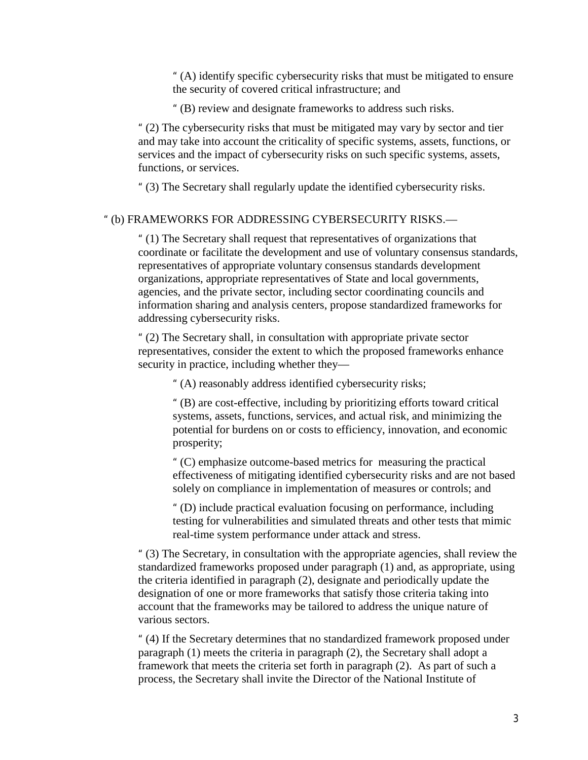" (A) identify specific cybersecurity risks that must be mitigated to ensure the security of covered critical infrastructure; and

" (B) review and designate frameworks to address such risks.

" (2) The cybersecurity risks that must be mitigated may vary by sector and tier and may take into account the criticality of specific systems, assets, functions, or services and the impact of cybersecurity risks on such specific systems, assets, functions, or services.

" (3) The Secretary shall regularly update the identified cybersecurity risks.

### " (b) FRAMEWORKS FOR ADDRESSING CYBERSECURITY RISKS.—

" (1) The Secretary shall request that representatives of organizations that coordinate or facilitate the development and use of voluntary consensus standards, representatives of appropriate voluntary consensus standards development organizations, appropriate representatives of State and local governments, agencies, and the private sector, including sector coordinating councils and information sharing and analysis centers, propose standardized frameworks for addressing cybersecurity risks.

" (2) The Secretary shall, in consultation with appropriate private sector representatives, consider the extent to which the proposed frameworks enhance security in practice, including whether they—

" (A) reasonably address identified cybersecurity risks;

" (B) are cost-effective, including by prioritizing efforts toward critical systems, assets, functions, services, and actual risk, and minimizing the potential for burdens on or costs to efficiency, innovation, and economic prosperity;

" (C) emphasize outcome-based metrics for measuring the practical effectiveness of mitigating identified cybersecurity risks and are not based solely on compliance in implementation of measures or controls; and

" (D) include practical evaluation focusing on performance, including testing for vulnerabilities and simulated threats and other tests that mimic real-time system performance under attack and stress.

" (3) The Secretary, in consultation with the appropriate agencies, shall review the standardized frameworks proposed under paragraph (1) and, as appropriate, using the criteria identified in paragraph (2), designate and periodically update the designation of one or more frameworks that satisfy those criteria taking into account that the frameworks may be tailored to address the unique nature of various sectors.

" (4) If the Secretary determines that no standardized framework proposed under paragraph (1) meets the criteria in paragraph (2), the Secretary shall adopt a framework that meets the criteria set forth in paragraph (2). As part of such a process, the Secretary shall invite the Director of the National Institute of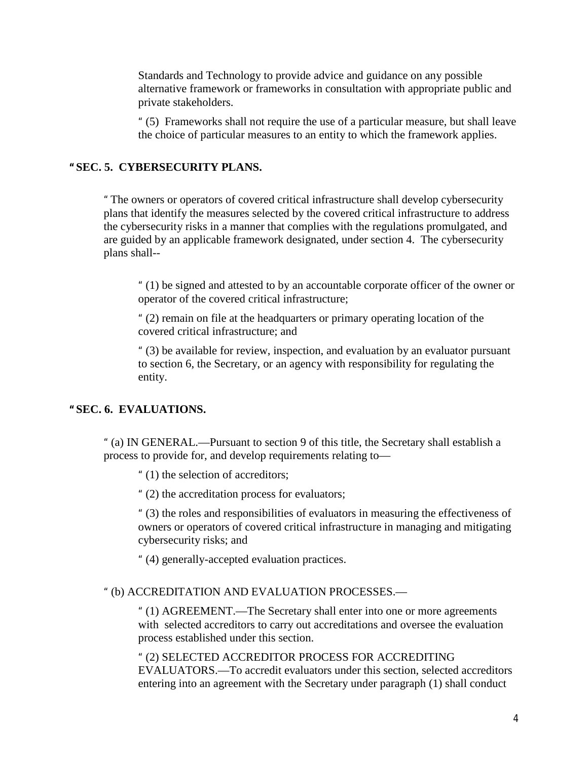Standards and Technology to provide advice and guidance on any possible alternative framework or frameworks in consultation with appropriate public and private stakeholders.

" (5) Frameworks shall not require the use of a particular measure, but shall leave the choice of particular measures to an entity to which the framework applies.

## **" SEC. 5. CYBERSECURITY PLANS.**

" The owners or operators of covered critical infrastructure shall develop cybersecurity plans that identify the measures selected by the covered critical infrastructure to address the cybersecurity risks in a manner that complies with the regulations promulgated, and are guided by an applicable framework designated, under section 4. The cybersecurity plans shall--

" (1) be signed and attested to by an accountable corporate officer of the owner or operator of the covered critical infrastructure;

" (2) remain on file at the headquarters or primary operating location of the covered critical infrastructure; and

" (3) be available for review, inspection, and evaluation by an evaluator pursuant to section 6, the Secretary, or an agency with responsibility for regulating the entity.

### **" SEC. 6. EVALUATIONS.**

" (a) IN GENERAL.—Pursuant to section 9 of this title, the Secretary shall establish a process to provide for, and develop requirements relating to—

" (1) the selection of accreditors;

" (2) the accreditation process for evaluators;

" (3) the roles and responsibilities of evaluators in measuring the effectiveness of owners or operators of covered critical infrastructure in managing and mitigating cybersecurity risks; and

" (4) generally-accepted evaluation practices.

#### " (b) ACCREDITATION AND EVALUATION PROCESSES.—

" (1) AGREEMENT.—The Secretary shall enter into one or more agreements with selected accreditors to carry out accreditations and oversee the evaluation process established under this section.

" (2) SELECTED ACCREDITOR PROCESS FOR ACCREDITING EVALUATORS.—To accredit evaluators under this section, selected accreditors entering into an agreement with the Secretary under paragraph (1) shall conduct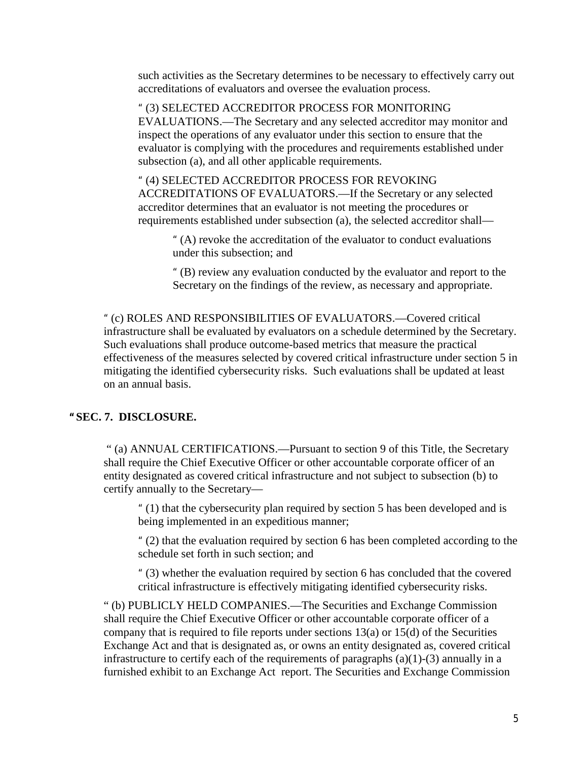such activities as the Secretary determines to be necessary to effectively carry out accreditations of evaluators and oversee the evaluation process.

" (3) SELECTED ACCREDITOR PROCESS FOR MONITORING EVALUATIONS.—The Secretary and any selected accreditor may monitor and inspect the operations of any evaluator under this section to ensure that the evaluator is complying with the procedures and requirements established under subsection (a), and all other applicable requirements.

" (4) SELECTED ACCREDITOR PROCESS FOR REVOKING ACCREDITATIONS OF EVALUATORS.—If the Secretary or any selected accreditor determines that an evaluator is not meeting the procedures or requirements established under subsection (a), the selected accreditor shall—

" (A) revoke the accreditation of the evaluator to conduct evaluations under this subsection; and

" (B) review any evaluation conducted by the evaluator and report to the Secretary on the findings of the review, as necessary and appropriate.

" (c) ROLES AND RESPONSIBILITIES OF EVALUATORS.—Covered critical infrastructure shall be evaluated by evaluators on a schedule determined by the Secretary. Such evaluations shall produce outcome-based metrics that measure the practical effectiveness of the measures selected by covered critical infrastructure under section 5 in mitigating the identified cybersecurity risks. Such evaluations shall be updated at least on an annual basis.

## **" SEC. 7. DISCLOSURE.**

" (a) ANNUAL CERTIFICATIONS.—Pursuant to section 9 of this Title, the Secretary shall require the Chief Executive Officer or other accountable corporate officer of an entity designated as covered critical infrastructure and not subject to subsection (b) to certify annually to the Secretary—

" (1) that the cybersecurity plan required by section 5 has been developed and is being implemented in an expeditious manner;

" (2) that the evaluation required by section 6 has been completed according to the schedule set forth in such section; and

" (3) whether the evaluation required by section 6 has concluded that the covered critical infrastructure is effectively mitigating identified cybersecurity risks.

" (b) PUBLICLY HELD COMPANIES.—The Securities and Exchange Commission shall require the Chief Executive Officer or other accountable corporate officer of a company that is required to file reports under sections  $13(a)$  or  $15(d)$  of the Securities Exchange Act and that is designated as, or owns an entity designated as, covered critical infrastructure to certify each of the requirements of paragraphs  $(a)(1)-(3)$  annually in a furnished exhibit to an Exchange Act report. The Securities and Exchange Commission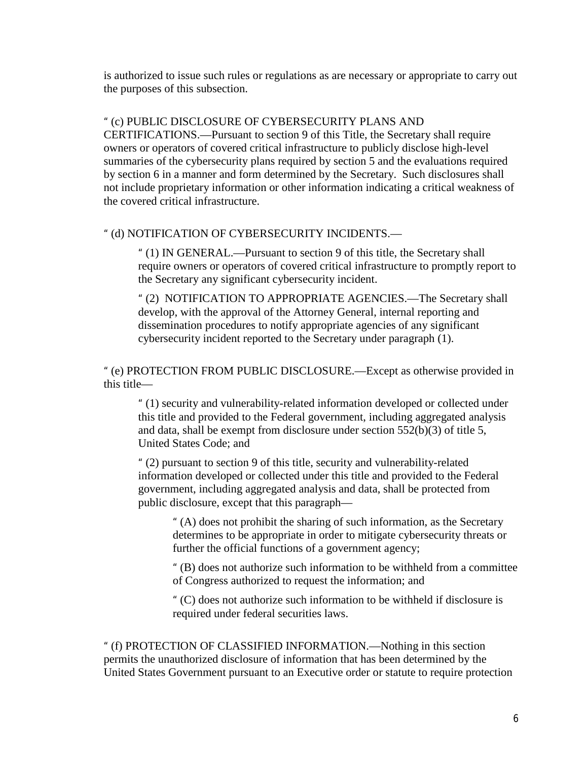is authorized to issue such rules or regulations as are necessary or appropriate to carry out the purposes of this subsection.

### " (c) PUBLIC DISCLOSURE OF CYBERSECURITY PLANS AND

CERTIFICATIONS.—Pursuant to section 9 of this Title, the Secretary shall require owners or operators of covered critical infrastructure to publicly disclose high-level summaries of the cybersecurity plans required by section 5 and the evaluations required by section 6 in a manner and form determined by the Secretary. Such disclosures shall not include proprietary information or other information indicating a critical weakness of the covered critical infrastructure.

#### " (d) NOTIFICATION OF CYBERSECURITY INCIDENTS.—

" (1) IN GENERAL.—Pursuant to section 9 of this title, the Secretary shall require owners or operators of covered critical infrastructure to promptly report to the Secretary any significant cybersecurity incident.

" (2) NOTIFICATION TO APPROPRIATE AGENCIES.—The Secretary shall develop, with the approval of the Attorney General, internal reporting and dissemination procedures to notify appropriate agencies of any significant cybersecurity incident reported to the Secretary under paragraph (1).

" (e) PROTECTION FROM PUBLIC DISCLOSURE.—Except as otherwise provided in this title—

" (1) security and vulnerability-related information developed or collected under this title and provided to the Federal government, including aggregated analysis and data, shall be exempt from disclosure under section 552(b)(3) of title 5, United States Code; and

" (2) pursuant to section 9 of this title, security and vulnerability-related information developed or collected under this title and provided to the Federal government, including aggregated analysis and data, shall be protected from public disclosure, except that this paragraph—

" (A) does not prohibit the sharing of such information, as the Secretary determines to be appropriate in order to mitigate cybersecurity threats or further the official functions of a government agency;

" (B) does not authorize such information to be withheld from a committee of Congress authorized to request the information; and

" (C) does not authorize such information to be withheld if disclosure is required under federal securities laws.

" (f) PROTECTION OF CLASSIFIED INFORMATION.—Nothing in this section permits the unauthorized disclosure of information that has been determined by the United States Government pursuant to an Executive order or statute to require protection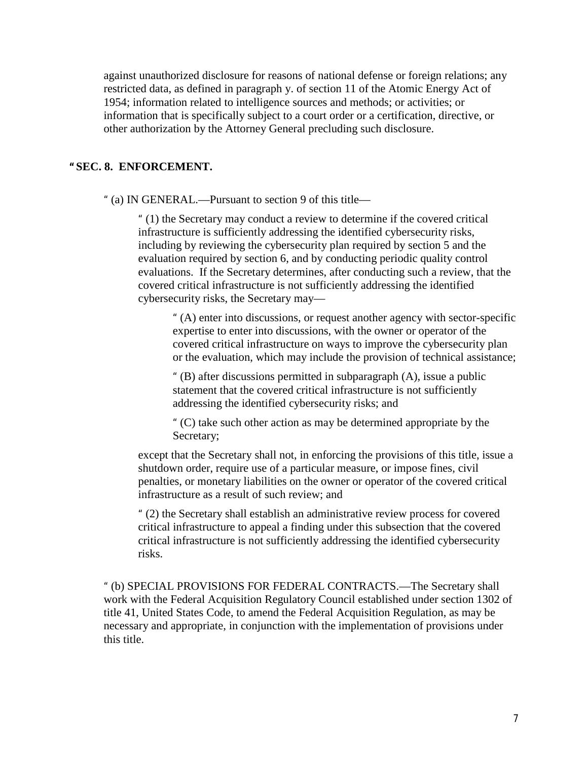against unauthorized disclosure for reasons of national defense or foreign relations; any restricted data, as defined in paragraph y. of section 11 of the Atomic Energy Act of 1954; information related to intelligence sources and methods; or activities; or information that is specifically subject to a court order or a certification, directive, or other authorization by the Attorney General precluding such disclosure.

## **" SEC. 8. ENFORCEMENT.**

" (a) IN GENERAL.—Pursuant to section 9 of this title—

" (1) the Secretary may conduct a review to determine if the covered critical infrastructure is sufficiently addressing the identified cybersecurity risks, including by reviewing the cybersecurity plan required by section 5 and the evaluation required by section 6, and by conducting periodic quality control evaluations. If the Secretary determines, after conducting such a review, that the covered critical infrastructure is not sufficiently addressing the identified cybersecurity risks, the Secretary may—

" (A) enter into discussions, or request another agency with sector-specific expertise to enter into discussions, with the owner or operator of the covered critical infrastructure on ways to improve the cybersecurity plan or the evaluation, which may include the provision of technical assistance;

" (B) after discussions permitted in subparagraph (A), issue a public statement that the covered critical infrastructure is not sufficiently addressing the identified cybersecurity risks; and

" (C) take such other action as may be determined appropriate by the Secretary;

except that the Secretary shall not, in enforcing the provisions of this title, issue a shutdown order, require use of a particular measure, or impose fines, civil penalties, or monetary liabilities on the owner or operator of the covered critical infrastructure as a result of such review; and

" (2) the Secretary shall establish an administrative review process for covered critical infrastructure to appeal a finding under this subsection that the covered critical infrastructure is not sufficiently addressing the identified cybersecurity risks.

" (b) SPECIAL PROVISIONS FOR FEDERAL CONTRACTS.—The Secretary shall work with the Federal Acquisition Regulatory Council established under section 1302 of title 41, United States Code, to amend the Federal Acquisition Regulation, as may be necessary and appropriate, in conjunction with the implementation of provisions under this title.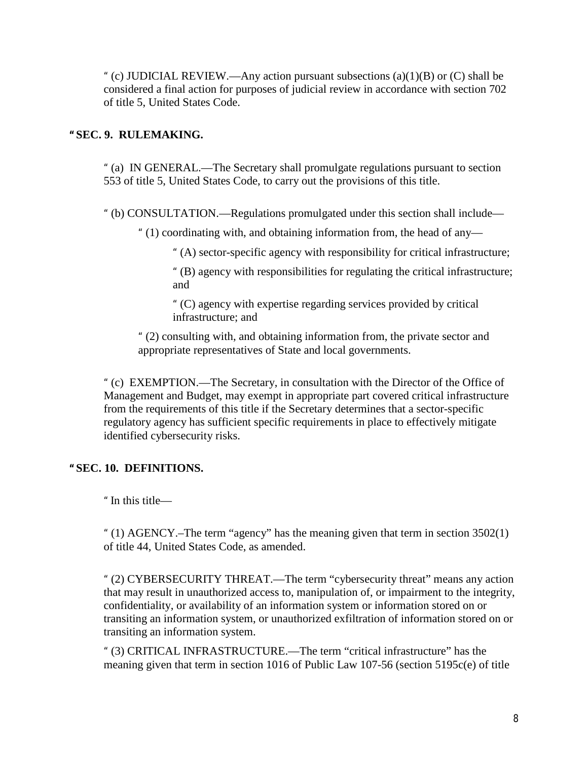" (c) JUDICIAL REVIEW.—Any action pursuant subsections  $(a)(1)(B)$  or  $(C)$  shall be considered a final action for purposes of judicial review in accordance with section 702 of title 5, United States Code.

## **" SEC. 9. RULEMAKING.**

" (a) IN GENERAL.—The Secretary shall promulgate regulations pursuant to section 553 of title 5, United States Code, to carry out the provisions of this title.

" (b) CONSULTATION.—Regulations promulgated under this section shall include—

" (1) coordinating with, and obtaining information from, the head of any—

" (A) sector-specific agency with responsibility for critical infrastructure;

" (B) agency with responsibilities for regulating the critical infrastructure; and

" (C) agency with expertise regarding services provided by critical infrastructure; and

" (2) consulting with, and obtaining information from, the private sector and appropriate representatives of State and local governments.

" (c) EXEMPTION.—The Secretary, in consultation with the Director of the Office of Management and Budget, may exempt in appropriate part covered critical infrastructure from the requirements of this title if the Secretary determines that a sector-specific regulatory agency has sufficient specific requirements in place to effectively mitigate identified cybersecurity risks.

# **" SEC. 10. DEFINITIONS.**

" In this title—

" (1) AGENCY.–The term "agency" has the meaning given that term in section 3502(1) of title 44, United States Code, as amended.

" (2) CYBERSECURITY THREAT.—The term "cybersecurity threat" means any action that may result in unauthorized access to, manipulation of, or impairment to the integrity, confidentiality, or availability of an information system or information stored on or transiting an information system, or unauthorized exfiltration of information stored on or transiting an information system.

" (3) CRITICAL INFRASTRUCTURE.—The term "critical infrastructure" has the meaning given that term in section 1016 of Public Law 107-56 (section 5195c(e) of title